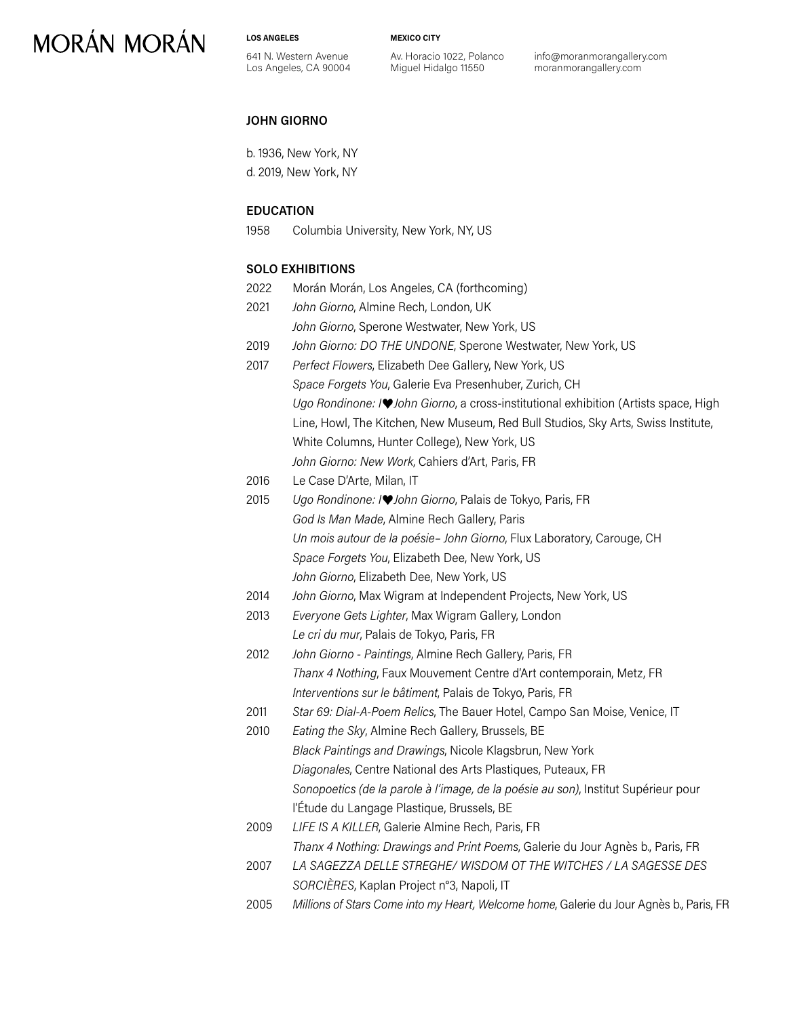**LOS ANGELES**

**MEXICO CITY**

641 N. Western Avenue Los Angeles, CA 90004 Av. Horacio 1022, Polanco Miguel Hidalgo 11550

info@moranmorangallery.com moranmorangallery.com

#### **JOHN GIORNO**

b. 1936, New York, NY d. 2019, New York, NY

### **EDUCATION**

1958 Columbia University, New York, NY, US

#### **SOLO EXHIBITIONS**

2022 Morán Morán, Los Angeles, CA (forthcoming) 2021 *John Giorno*, Almine Rech, London, UK *John Giorno*, Sperone Westwater, New York, US 2019 *John Giorno: DO THE UNDONE*, Sperone Westwater, New York, US 2017 *Perfect Flowers*, Elizabeth Dee Gallery, New York, US *Space Forgets You*, Galerie Eva Presenhuber, Zurich, CH *Ugo Rondinone: I*♥*John Giorno*, a cross-institutional exhibition (Artists space, High Line, Howl, The Kitchen, New Museum, Red Bull Studios, Sky Arts, Swiss Institute, White Columns, Hunter College), New York, US *John Giorno: New Work*, Cahiers d'Art, Paris, FR 2016 Le Case D'Arte, Milan, IT 2015 *Ugo Rondinone: I*♥*John Giorno*, Palais de Tokyo, Paris, FR *God Is Man Made*, Almine Rech Gallery, Paris *Un mois autour de la poésie– John Giorno*, Flux Laboratory, Carouge, CH *Space Forgets You*, Elizabeth Dee, New York, US *John Giorno*, Elizabeth Dee, New York, US 2014 *John Giorno*, Max Wigram at Independent Projects, New York, US 2013 *Everyone Gets Lighter*, Max Wigram Gallery, London *Le cri du mur*, Palais de Tokyo, Paris, FR 2012 *John Giorno - Paintings*, Almine Rech Gallery, Paris, FR *Thanx 4 Nothing*, Faux Mouvement Centre d'Art contemporain, Metz, FR *Interventions sur le bâtiment*, Palais de Tokyo, Paris, FR 2011 *Star 69: Dial-A-Poem Relics*, The Bauer Hotel, Campo San Moise, Venice, IT 2010 *Eating the Sky*, Almine Rech Gallery, Brussels, BE *Black Paintings and Drawings*, Nicole Klagsbrun, New York *Diagonales*, Centre National des Arts Plastiques, Puteaux, FR *Sonopoetics (de la parole à l'image, de la poésie au son)*, Institut Supérieur pour l'Étude du Langage Plastique, Brussels, BE 2009 *LIFE IS A KILLER*, Galerie Almine Rech, Paris, FR *Thanx 4 Nothing: Drawings and Print Poems*, Galerie du Jour Agnès b., Paris, FR 2007 *LA SAGEZZA DELLE STREGHE/ WISDOM OT THE WITCHES / LA SAGESSE DES SORCIÈRES*, Kaplan Project n°3, Napoli, IT 2005 *Millions of Stars Come into my Heart, Welcome home*, Galerie du Jour Agnès b., Paris, FR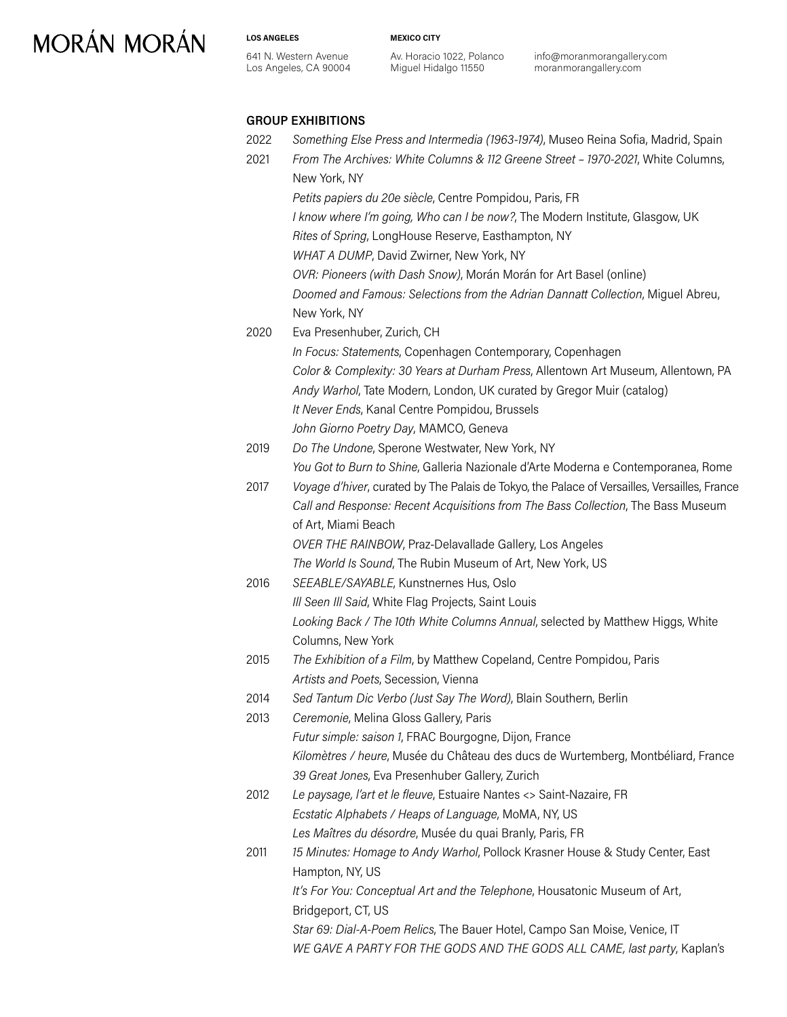#### **LOS ANGELES**

641 N. Western Avenue Los Angeles, CA 90004 Av. Horacio 1022, Polanco Miguel Hidalgo 11550

**MEXICO CITY**

info@moranmorangallery.com moranmorangallery.com

### **GROUP EXHIBITIONS**

2022 *Something Else Press and Intermedia (1963-1974)*, Museo Reina Sofia, Madrid, Spain

| 2021 | From The Archives: White Columns & 112 Greene Street - 1970-2021, White Columns,<br>New York, NY |
|------|--------------------------------------------------------------------------------------------------|
|      | Petits papiers du 20e siècle, Centre Pompidou, Paris, FR                                         |
|      | I know where I'm going, Who can I be now?, The Modern Institute, Glasgow, UK                     |
|      | Rites of Spring, LongHouse Reserve, Easthampton, NY                                              |
|      | WHAT A DUMP, David Zwirner, New York, NY                                                         |
|      | OVR: Pioneers (with Dash Snow), Morán Morán for Art Basel (online)                               |
|      | Doomed and Famous: Selections from the Adrian Dannatt Collection, Miguel Abreu,                  |
|      | New York, NY                                                                                     |
| 2020 | Eva Presenhuber, Zurich, CH                                                                      |
|      | In Focus: Statements, Copenhagen Contemporary, Copenhagen                                        |
|      | Color & Complexity: 30 Years at Durham Press, Allentown Art Museum, Allentown, PA                |
|      | Andy Warhol, Tate Modern, London, UK curated by Gregor Muir (catalog)                            |
|      | It Never Ends, Kanal Centre Pompidou, Brussels                                                   |
|      | John Giorno Poetry Day, MAMCO, Geneva                                                            |
| 2019 | Do The Undone, Sperone Westwater, New York, NY                                                   |
|      | You Got to Burn to Shine, Galleria Nazionale d'Arte Moderna e Contemporanea, Rome                |
| 2017 | Voyage d'hiver, curated by The Palais de Tokyo, the Palace of Versailles, Versailles, France     |
|      | Call and Response: Recent Acquisitions from The Bass Collection, The Bass Museum                 |
|      | of Art, Miami Beach                                                                              |
|      | OVER THE RAINBOW, Praz-Delavallade Gallery, Los Angeles                                          |
|      | The World Is Sound, The Rubin Museum of Art, New York, US                                        |
| 2016 | SEEABLE/SAYABLE, Kunstnernes Hus, Oslo                                                           |
|      | Ill Seen Ill Said, White Flag Projects, Saint Louis                                              |
|      | Looking Back / The 10th White Columns Annual, selected by Matthew Higgs, White                   |
|      | Columns, New York                                                                                |
| 2015 | The Exhibition of a Film, by Matthew Copeland, Centre Pompidou, Paris                            |
|      | Artists and Poets, Secession, Vienna                                                             |
| 2014 | Sed Tantum Dic Verbo (Just Say The Word), Blain Southern, Berlin                                 |
| 2013 | Ceremonie, Melina Gloss Gallery, Paris                                                           |
|      | Futur simple: saison 1, FRAC Bourgogne, Dijon, France                                            |
|      | Kilomètres / heure, Musée du Château des ducs de Wurtemberg, Montbéliard, France                 |
|      | 39 Great Jones, Eva Presenhuber Gallery, Zurich                                                  |
| 2012 | Le paysage, l'art et le fleuve, Estuaire Nantes <> Saint-Nazaire, FR                             |
|      | Ecstatic Alphabets / Heaps of Language, MoMA, NY, US                                             |
|      | Les Maîtres du désordre, Musée du quai Branly, Paris, FR                                         |
| 2011 | 15 Minutes: Homage to Andy Warhol, Pollock Krasner House & Study Center, East                    |
|      | Hampton, NY, US                                                                                  |
|      | It's For You: Conceptual Art and the Telephone, Housatonic Museum of Art,                        |
|      | Bridgeport, CT, US                                                                               |
|      | Star 69: Dial-A-Poem Relics, The Bauer Hotel, Campo San Moise, Venice, IT                        |
|      | WE GAVE A PARTY FOR THE GODS AND THE GODS ALL CAME, last party, Kaplan's                         |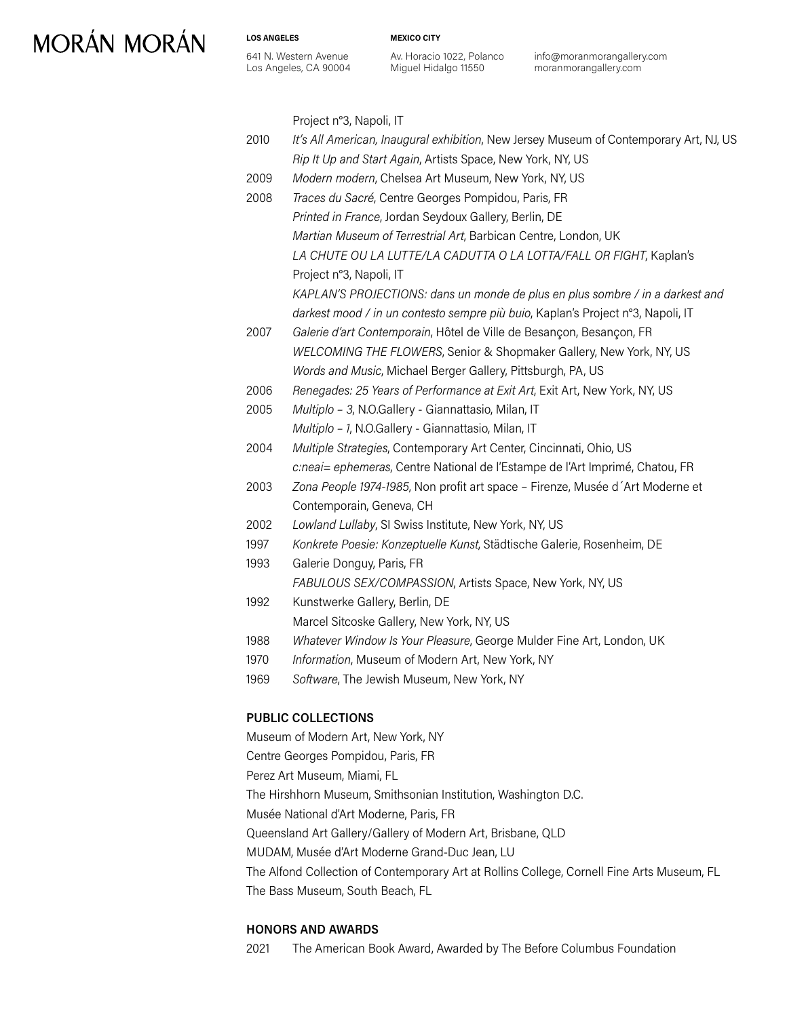**MEXICO CITY**

641 N. Western Avenue Los Angeles, CA 90004

**LOS ANGELES**

Av. Horacio 1022, Polanco Miguel Hidalgo 11550

info@moranmorangallery.com moranmorangallery.com

Project n°3, Napoli, IT

| 2010 | It's All American, Inaugural exhibition, New Jersey Museum of Contemporary Art, NJ, US |
|------|----------------------------------------------------------------------------------------|
|      | Rip It Up and Start Again, Artists Space, New York, NY, US                             |
| 2009 | Modern modern, Chelsea Art Museum, New York, NY, US                                    |
| 2008 | Traces du Sacré, Centre Georges Pompidou, Paris, FR                                    |
|      | Printed in France, Jordan Seydoux Gallery, Berlin, DE                                  |
|      | Martian Museum of Terrestrial Art, Barbican Centre, London, UK                         |
|      | LA CHUTE OU LA LUTTE/LA CADUTTA O LA LOTTA/FALL OR FIGHT, Kaplan's                     |
|      | Project n°3, Napoli, IT                                                                |
|      | KAPLAN'S PROJECTIONS: dans un monde de plus en plus sombre / in a darkest and          |
|      | darkest mood / in un contesto sempre più buio, Kaplan's Project n°3, Napoli, IT        |
| 2007 | Galerie d'art Contemporain, Hôtel de Ville de Besançon, Besançon, FR                   |
|      | WELCOMING THE FLOWERS, Senior & Shopmaker Gallery, New York, NY, US                    |
|      | Words and Music, Michael Berger Gallery, Pittsburgh, PA, US                            |
| 2006 | Renegades: 25 Years of Performance at Exit Art, Exit Art, New York, NY, US             |
| 2005 | Multiplo - 3, N.O.Gallery - Giannattasio, Milan, IT                                    |
|      | Multiplo - 1, N.O.Gallery - Giannattasio, Milan, IT                                    |
| 2004 | Multiple Strategies, Contemporary Art Center, Cincinnati, Ohio, US                     |
|      | c:neai = ephemeras, Centre National de l'Estampe de l'Art Imprimé, Chatou, FR          |
| 2003 | Zona People 1974-1985, Non profit art space - Firenze, Musée d'Art Moderne et          |
|      | Contemporain, Geneva, CH                                                               |
| 2002 | Lowland Lullaby, SI Swiss Institute, New York, NY, US                                  |
| 1997 | Konkrete Poesie: Konzeptuelle Kunst, Städtische Galerie, Rosenheim, DE                 |
| 1993 | Galerie Donguy, Paris, FR                                                              |
|      | FABULOUS SEX/COMPASSION, Artists Space, New York, NY, US                               |
| 1992 | Kunstwerke Gallery, Berlin, DE                                                         |
|      | Marcel Sitcoske Gallery, New York, NY, US                                              |
| 1988 | Whatever Window Is Your Pleasure, George Mulder Fine Art, London, UK                   |
| 1970 | Information, Museum of Modern Art, New York, NY                                        |
| 1969 | Software, The Jewish Museum, New York, NY                                              |
|      |                                                                                        |

### **PUBLIC COLLECTIONS**

Museum of Modern Art, New York, NY Centre Georges Pompidou, Paris, FR Perez Art Museum, Miami, FL The Hirshhorn Museum, Smithsonian Institution, Washington D.C. Musée National d'Art Moderne, Paris, FR Queensland Art Gallery/Gallery of Modern Art, Brisbane, QLD MUDAM, Musée d'Art Moderne Grand-Duc Jean, LU The Alfond Collection of Contemporary Art at Rollins College, Cornell Fine Arts Museum, FL The Bass Museum, South Beach, FL

#### **HONORS AND AWARDS**

2021 The American Book Award, Awarded by The Before Columbus Foundation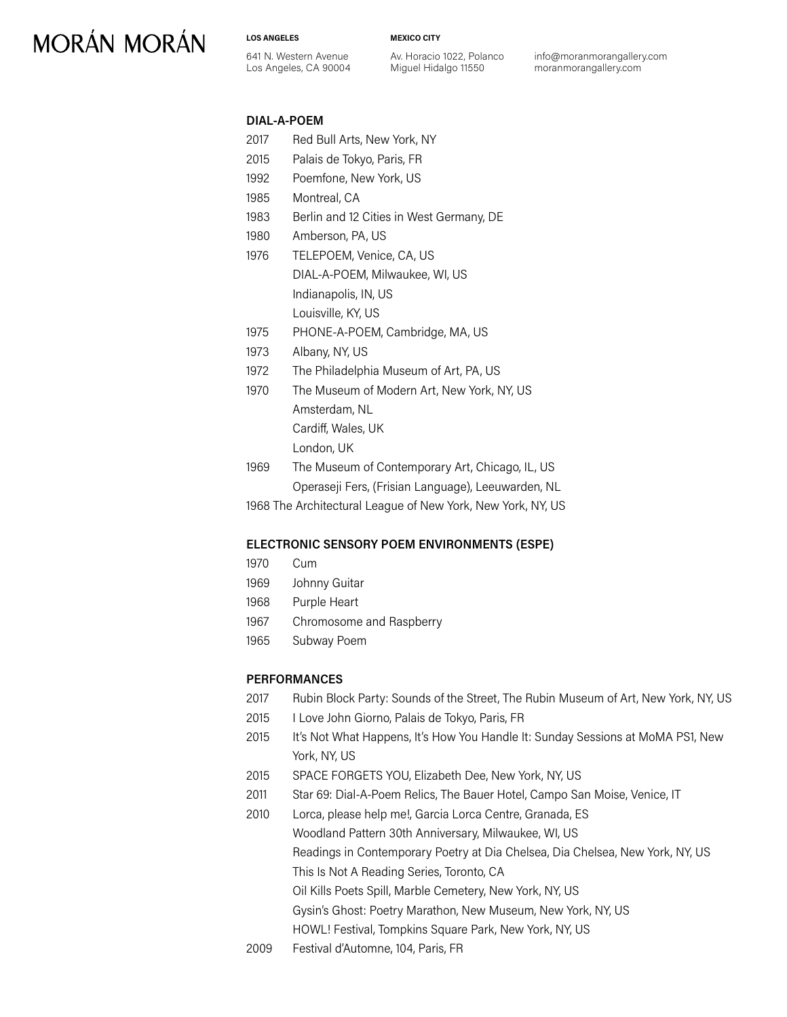#### **LOS ANGELES**

641 N. Western Avenue Los Angeles, CA 90004 **MEXICO CITY**

Av. Horacio 1022, Polanco Miguel Hidalgo 11550

info@moranmorangallery.com moranmorangallery.com

#### **DIAL-A-POEM**

- 2017 Red Bull Arts, New York, NY
- 2015 Palais de Tokyo, Paris, FR
- 1992 Poemfone, New York, US
- 1985 Montreal, CA
- 1983 Berlin and 12 Cities in West Germany, DE
- 1980 Amberson, PA, US
- 1976 TELEPOEM, Venice, CA, US DIAL-A-POEM, Milwaukee, WI, US Indianapolis, IN, US Louisville, KY, US
- 1975 PHONE-A-POEM, Cambridge, MA, US
- 1973 Albany, NY, US
- 1972 The Philadelphia Museum of Art, PA, US
- 1970 The Museum of Modern Art, New York, NY, US Amsterdam, NL Cardiff, Wales, UK

London, UK

1969 The Museum of Contemporary Art, Chicago, IL, US Operaseji Fers, (Frisian Language), Leeuwarden, NL

1968 The Architectural League of New York, New York, NY, US

#### **ELECTRONIC SENSORY POEM ENVIRONMENTS (ESPE)**

- 1970 Cum
- 1969 Johnny Guitar
- 1968 Purple Heart
- 1967 Chromosome and Raspberry
- 1965 Subway Poem

#### **PERFORMANCES**

- 2017 Rubin Block Party: Sounds of the Street, The Rubin Museum of Art, New York, NY, US
- 2015 I Love John Giorno, Palais de Tokyo, Paris, FR
- 2015 It's Not What Happens, It's How You Handle It: Sunday Sessions at MoMA PS1, New York, NY, US
- 2015 SPACE FORGETS YOU, Elizabeth Dee, New York, NY, US
- 2011 Star 69: Dial-A-Poem Relics, The Bauer Hotel, Campo San Moise, Venice, IT
- 2010 Lorca, please help me!, Garcia Lorca Centre, Granada, ES Woodland Pattern 30th Anniversary, Milwaukee, WI, US Readings in Contemporary Poetry at Dia Chelsea, Dia Chelsea, New York, NY, US This Is Not A Reading Series, Toronto, CA Oil Kills Poets Spill, Marble Cemetery, New York, NY, US Gysin's Ghost: Poetry Marathon, New Museum, New York, NY, US HOWL! Festival, Tompkins Square Park, New York, NY, US
- 2009 Festival d'Automne, 104, Paris, FR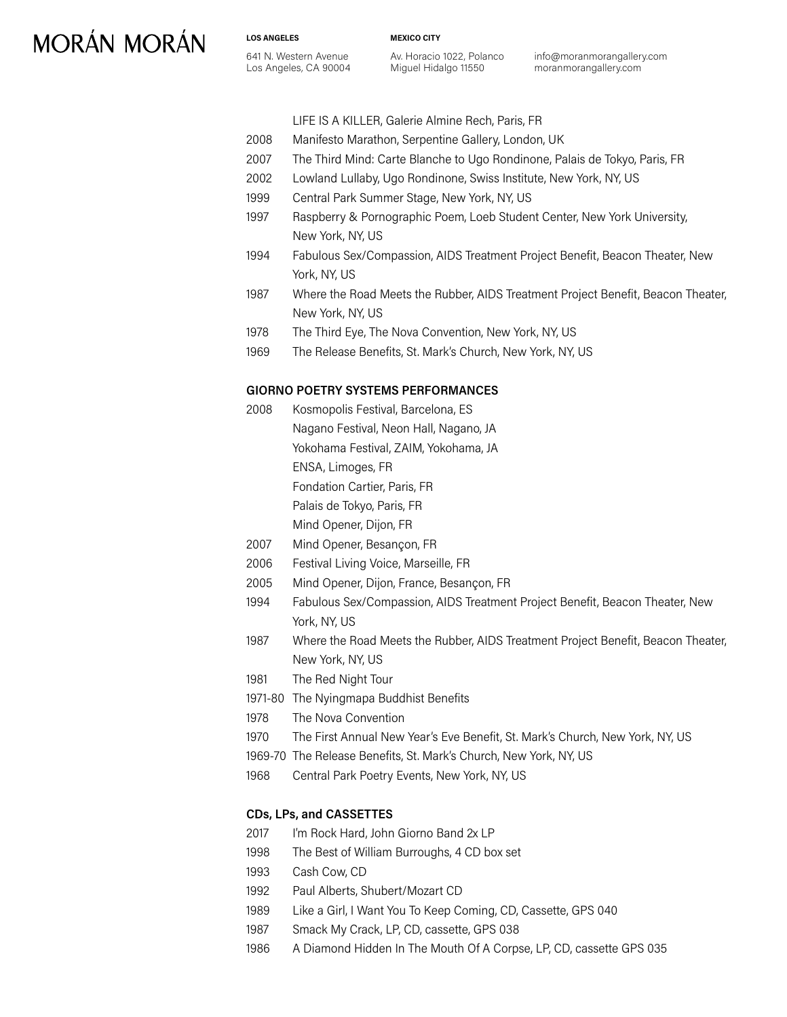**MEXICO CITY**

Av. Horacio 1022, Polanco Miguel Hidalgo 11550

info@moranmorangallery.com moranmorangallery.com

#### LIFE IS A KILLER, Galerie Almine Rech, Paris, FR

- 2008 Manifesto Marathon, Serpentine Gallery, London, UK
- 2007 The Third Mind: Carte Blanche to Ugo Rondinone, Palais de Tokyo, Paris, FR
- 2002 Lowland Lullaby, Ugo Rondinone, Swiss Institute, New York, NY, US
- 1999 Central Park Summer Stage, New York, NY, US
- 1997 Raspberry & Pornographic Poem, Loeb Student Center, New York University, New York, NY, US
- 1994 Fabulous Sex/Compassion, AIDS Treatment Project Benefit, Beacon Theater, New York, NY, US
- 1987 Where the Road Meets the Rubber, AIDS Treatment Project Benefit, Beacon Theater, New York, NY, US
- 1978 The Third Eye, The Nova Convention, New York, NY, US
- 1969 The Release Benefits, St. Mark's Church, New York, NY, US

### **GIORNO POETRY SYSTEMS PERFORMANCES**

- 2008 Kosmopolis Festival, Barcelona, ES Nagano Festival, Neon Hall, Nagano, JA Yokohama Festival, ZAIM, Yokohama, JA
	- ENSA, Limoges, FR

Fondation Cartier, Paris, FR

Palais de Tokyo, Paris, FR

- Mind Opener, Dijon, FR
- 2007 Mind Opener, Besançon, FR
- 2006 Festival Living Voice, Marseille, FR
- 2005 Mind Opener, Dijon, France, Besançon, FR
- 1994 Fabulous Sex/Compassion, AIDS Treatment Project Benefit, Beacon Theater, New York, NY, US
- 1987 Where the Road Meets the Rubber, AIDS Treatment Project Benefit, Beacon Theater, New York, NY, US
- 1981 The Red Night Tour
- 1971-80 The Nyingmapa Buddhist Benefits
- 1978 The Nova Convention
- 1970 The First Annual New Year's Eve Benefit, St. Mark's Church, New York, NY, US
- 1969-70 The Release Benefits, St. Mark's Church, New York, NY, US
- 1968 Central Park Poetry Events, New York, NY, US

#### **CDs, LPs, and CASSETTES**

- 2017 I'm Rock Hard, John Giorno Band 2x LP
- 1998 The Best of William Burroughs, 4 CD box set
- 1993 Cash Cow, CD
- 1992 Paul Alberts, Shubert/Mozart CD
- 1989 Like a Girl, I Want You To Keep Coming, CD, Cassette, GPS 040
- 1987 Smack My Crack, LP, CD, cassette, GPS 038
- 1986 A Diamond Hidden In The Mouth Of A Corpse, LP, CD, cassette GPS 035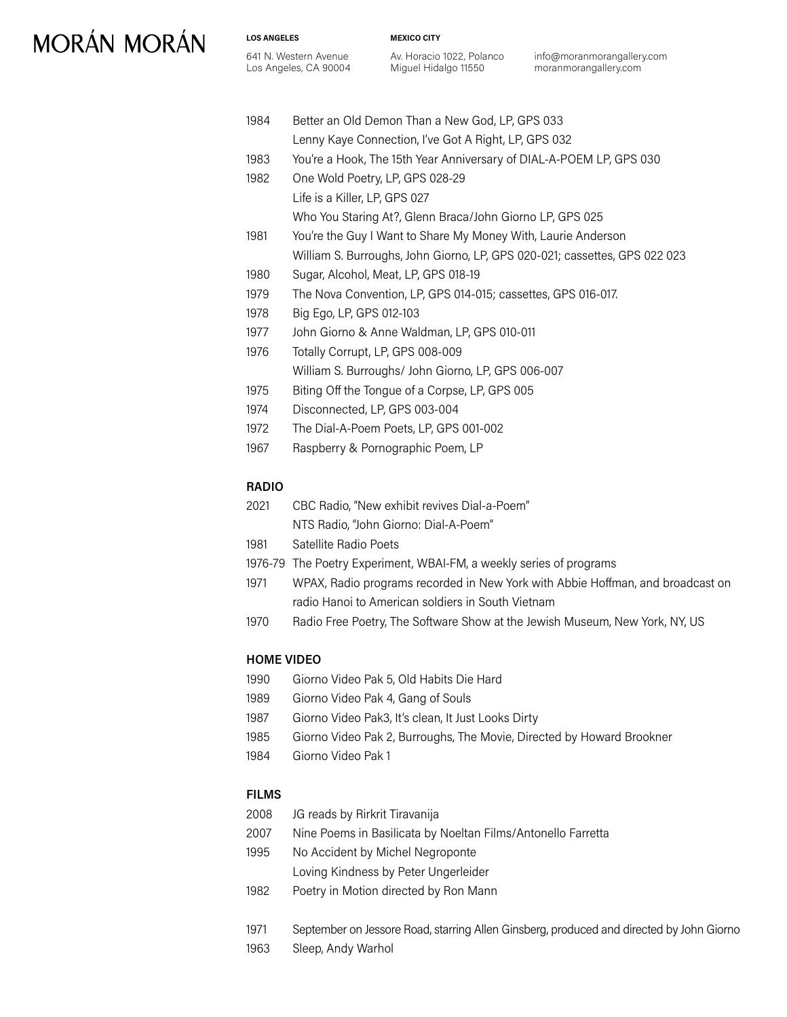**LOS ANGELES** 641 N. Western Avenue Los Angeles, CA 90004 **MEXICO CITY**

Av. Horacio 1022, Polanco Miguel Hidalgo 11550

info@moranmorangallery.com moranmorangallery.com

| 1984 | Better an Old Demon Than a New God, LP, GPS 033                            |
|------|----------------------------------------------------------------------------|
|      | Lenny Kaye Connection, I've Got A Right, LP, GPS 032                       |
| 1983 | You're a Hook, The 15th Year Anniversary of DIAL-A-POEM LP, GPS 030        |
| 1982 | One Wold Poetry, LP, GPS 028-29                                            |
|      | Life is a Killer, LP, GPS 027                                              |
|      | Who You Staring At?, Glenn Braca/John Giorno LP, GPS 025                   |
| 1981 | You're the Guy I Want to Share My Money With, Laurie Anderson              |
|      | William S. Burroughs, John Giorno, LP, GPS 020-021; cassettes, GPS 022 023 |
| 1980 | Sugar, Alcohol, Meat, LP, GPS 018-19                                       |
| 1979 | The Nova Convention, LP, GPS 014-015; cassettes, GPS 016-017.              |
| 1978 | Big Ego, LP, GPS 012-103                                                   |
| 1977 | John Giorno & Anne Waldman, LP, GPS 010-011                                |
| 1976 | Totally Corrupt, LP, GPS 008-009                                           |
|      | William S. Burroughs/ John Giorno, LP, GPS 006-007                         |
| 1975 | Biting Off the Tongue of a Corpse, LP, GPS 005                             |
| 1974 | Disconnected, LP, GPS 003-004                                              |
| 1972 | The Dial-A-Poem Poets, LP, GPS 001-002                                     |
| 1967 | Raspberry & Pornographic Poem, LP                                          |

#### **RADIO**

| 2021 | CBC Radio, "New exhibit revives Dial-a-Poem" |
|------|----------------------------------------------|
|      | NTS Radio, "John Giorno: Dial-A-Poem"        |

- 1981 Satellite Radio Poets
- 1976-79 The Poetry Experiment, WBAI-FM, a weekly series of programs
- 1971 WPAX, Radio programs recorded in New York with Abbie Hoffman, and broadcast on radio Hanoi to American soldiers in South Vietnam
- 1970 Radio Free Poetry, The Software Show at the Jewish Museum, New York, NY, US

### **HOME VIDEO**

- 1990 Giorno Video Pak 5, Old Habits Die Hard
- 1989 Giorno Video Pak 4, Gang of Souls
- 1987 Giorno Video Pak3, It's clean, It Just Looks Dirty
- 1985 Giorno Video Pak 2, Burroughs, The Movie, Directed by Howard Brookner
- 1984 Giorno Video Pak 1

#### **FILMS**

- 2008 JG reads by Rirkrit Tiravanija
- 2007 Nine Poems in Basilicata by Noeltan Films/Antonello Farretta
- 1995 No Accident by Michel Negroponte
	- Loving Kindness by Peter Ungerleider
- 1982 Poetry in Motion directed by Ron Mann
- 1971 September on Jessore Road, starring Allen Ginsberg, produced and directed by John Giorno
- 1963 Sleep, Andy Warhol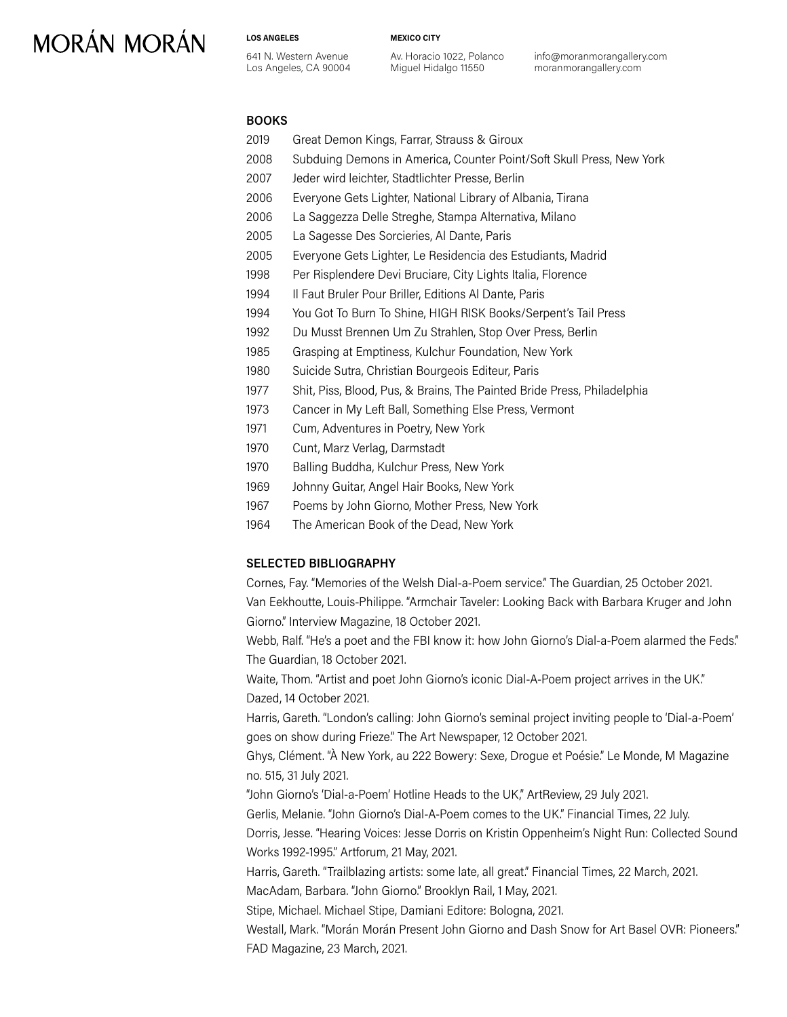#### **LOS ANGELES**

641 N. Western Avenue Los Angeles, CA 90004 Av. Horacio 1022, Polanco Miguel Hidalgo 11550

**MEXICO CITY**

info@moranmorangallery.com moranmorangallery.com

### **BOOKS**

- 2019 Great Demon Kings, Farrar, Strauss & Giroux
- 2008 Subduing Demons in America, Counter Point/Soft Skull Press, New York
- 2007 Jeder wird leichter, Stadtlichter Presse, Berlin
- 2006 Everyone Gets Lighter, National Library of Albania, Tirana
- 2006 La Saggezza Delle Streghe, Stampa Alternativa, Milano
- 2005 La Sagesse Des Sorcieries, Al Dante, Paris
- 2005 Everyone Gets Lighter, Le Residencia des Estudiants, Madrid
- 1998 Per Risplendere Devi Bruciare, City Lights Italia, Florence
- 1994 Il Faut Bruler Pour Briller, Editions Al Dante, Paris
- 1994 You Got To Burn To Shine, HIGH RISK Books/Serpent's Tail Press
- 1992 Du Musst Brennen Um Zu Strahlen, Stop Over Press, Berlin
- 1985 Grasping at Emptiness, Kulchur Foundation, New York
- 1980 Suicide Sutra, Christian Bourgeois Editeur, Paris
- 1977 Shit, Piss, Blood, Pus, & Brains, The Painted Bride Press, Philadelphia
- 1973 Cancer in My Left Ball, Something Else Press, Vermont
- 1971 Cum, Adventures in Poetry, New York
- 1970 Cunt, Marz Verlag, Darmstadt
- 1970 Balling Buddha, Kulchur Press, New York
- 1969 Johnny Guitar, Angel Hair Books, New York
- 1967 Poems by John Giorno, Mother Press, New York
- 1964 The American Book of the Dead, New York

#### **SELECTED BIBLIOGRAPHY**

Cornes, Fay. "Memories of the Welsh Dial-a-Poem service." The Guardian, 25 October 2021. Van Eekhoutte, Louis-Philippe. "Armchair Taveler: Looking Back with Barbara Kruger and John Giorno." Interview Magazine, 18 October 2021.

Webb, Ralf. "He's a poet and the FBI know it: how John Giorno's Dial-a-Poem alarmed the Feds." The Guardian, 18 October 2021.

Waite, Thom. "Artist and poet John Giorno's iconic Dial-A-Poem project arrives in the UK." Dazed, 14 October 2021.

Harris, Gareth. "London's calling: John Giorno's seminal project inviting people to 'Dial-a-Poem' goes on show during Frieze." The Art Newspaper, 12 October 2021.

Ghys, Clément. "À New York, au 222 Bowery: Sexe, Drogue et Poésie." Le Monde, M Magazine no. 515, 31 July 2021.

"John Giorno's 'Dial-a-Poem' Hotline Heads to the UK," ArtReview, 29 July 2021.

Gerlis, Melanie. "John Giorno's Dial-A-Poem comes to the UK." Financial Times, 22 July.

Dorris, Jesse. "Hearing Voices: Jesse Dorris on Kristin Oppenheim's Night Run: Collected Sound Works 1992-1995." Artforum, 21 May, 2021.

Harris, Gareth. "Trailblazing artists: some late, all great." Financial Times, 22 March, 2021.

MacAdam, Barbara. "John Giorno." Brooklyn Rail, 1 May, 2021.

Stipe, Michael. Michael Stipe, Damiani Editore: Bologna, 2021.

Westall, Mark. "Morán Morán Present John Giorno and Dash Snow for Art Basel OVR: Pioneers." FAD Magazine, 23 March, 2021.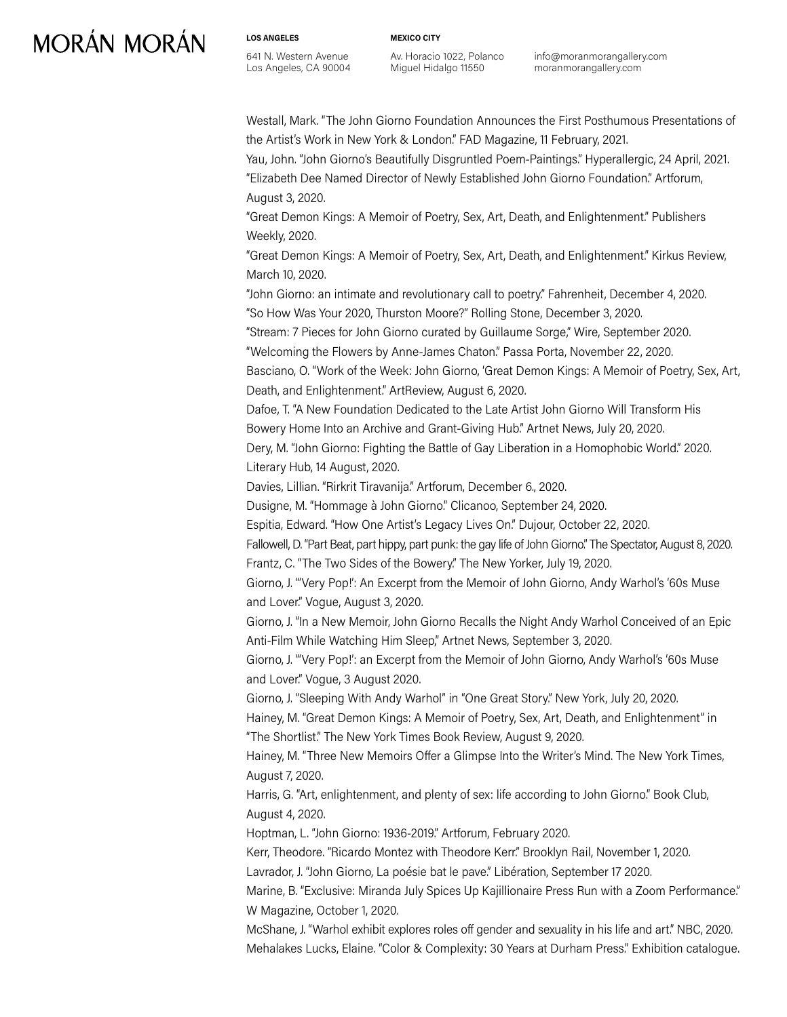**LOS ANGELES**

**MEXICO CITY**

641 N. Western Avenue Los Angeles, CA 90004 Av. Horacio 1022, Polanco Miguel Hidalgo 11550

info@moranmorangallery.com moranmorangallery.com

Westall, Mark. "The John Giorno Foundation Announces the First Posthumous Presentations of the Artist's Work in New York & London." FAD Magazine, 11 February, 2021.

Yau, John. "John Giorno's Beautifully Disgruntled Poem-Paintings." Hyperallergic, 24 April, 2021. "Elizabeth Dee Named Director of Newly Established John Giorno Foundation." Artforum, August 3, 2020.

"Great Demon Kings: A Memoir of Poetry, Sex, Art, Death, and Enlightenment." Publishers Weekly, 2020.

"Great Demon Kings: A Memoir of Poetry, Sex, Art, Death, and Enlightenment." Kirkus Review, March 10, 2020.

"John Giorno: an intimate and revolutionary call to poetry." Fahrenheit, December 4, 2020. "So How Was Your 2020, Thurston Moore?" Rolling Stone, December 3, 2020.

"Stream: 7 Pieces for John Giorno curated by Guillaume Sorge," Wire, September 2020.

"Welcoming the Flowers by Anne-James Chaton." Passa Porta, November 22, 2020.

Basciano, O. "Work of the Week: John Giorno, 'Great Demon Kings: A Memoir of Poetry, Sex, Art, Death, and Enlightenment." ArtReview, August 6, 2020.

Dafoe, T. "A New Foundation Dedicated to the Late Artist John Giorno Will Transform His Bowery Home Into an Archive and Grant-Giving Hub." Artnet News, July 20, 2020.

Dery, M. "John Giorno: Fighting the Battle of Gay Liberation in a Homophobic World." 2020. Literary Hub, 14 August, 2020.

Davies, Lillian. "Rirkrit Tiravanija." Artforum, December 6., 2020.

Dusigne, M. "Hommage à John Giorno." Clicanoo, September 24, 2020.

Espitia, Edward. "How One Artist's Legacy Lives On." Dujour, October 22, 2020.

Fallowell, D. "Part Beat, part hippy, part punk: the gay life of John Giorno." The Spectator, August 8, 2020. Frantz, C. "The Two Sides of the Bowery." The New Yorker, July 19, 2020.

Giorno, J. "'Very Pop!': An Excerpt from the Memoir of John Giorno, Andy Warhol's '60s Muse and Lover." Vogue, August 3, 2020.

Giorno, J. "In a New Memoir, John Giorno Recalls the Night Andy Warhol Conceived of an Epic Anti-Film While Watching Him Sleep," Artnet News, September 3, 2020.

Giorno, J. "'Very Pop!': an Excerpt from the Memoir of John Giorno, Andy Warhol's '60s Muse and Lover." Vogue, 3 August 2020.

Giorno, J. "Sleeping With Andy Warhol" in "One Great Story." New York, July 20, 2020.

Hainey, M. "Great Demon Kings: A Memoir of Poetry, Sex, Art, Death, and Enlightenment" in "The Shortlist." The New York Times Book Review, August 9, 2020.

Hainey, M. "Three New Memoirs Offer a Glimpse Into the Writer's Mind. The New York Times, August 7, 2020.

Harris, G. "Art, enlightenment, and plenty of sex: life according to John Giorno." Book Club, August 4, 2020.

Hoptman, L. "John Giorno: 1936-2019." Artforum, February 2020.

Kerr, Theodore. "Ricardo Montez with Theodore Kerr." Brooklyn Rail, November 1, 2020.

Lavrador, J. "John Giorno, La poésie bat le pave." Libération, September 17 2020.

Marine, B. "Exclusive: Miranda July Spices Up Kajillionaire Press Run with a Zoom Performance." W Magazine, October 1, 2020.

McShane, J. "Warhol exhibit explores roles off gender and sexuality in his life and art." NBC, 2020. Mehalakes Lucks, Elaine. "Color & Complexity: 30 Years at Durham Press." Exhibition catalogue.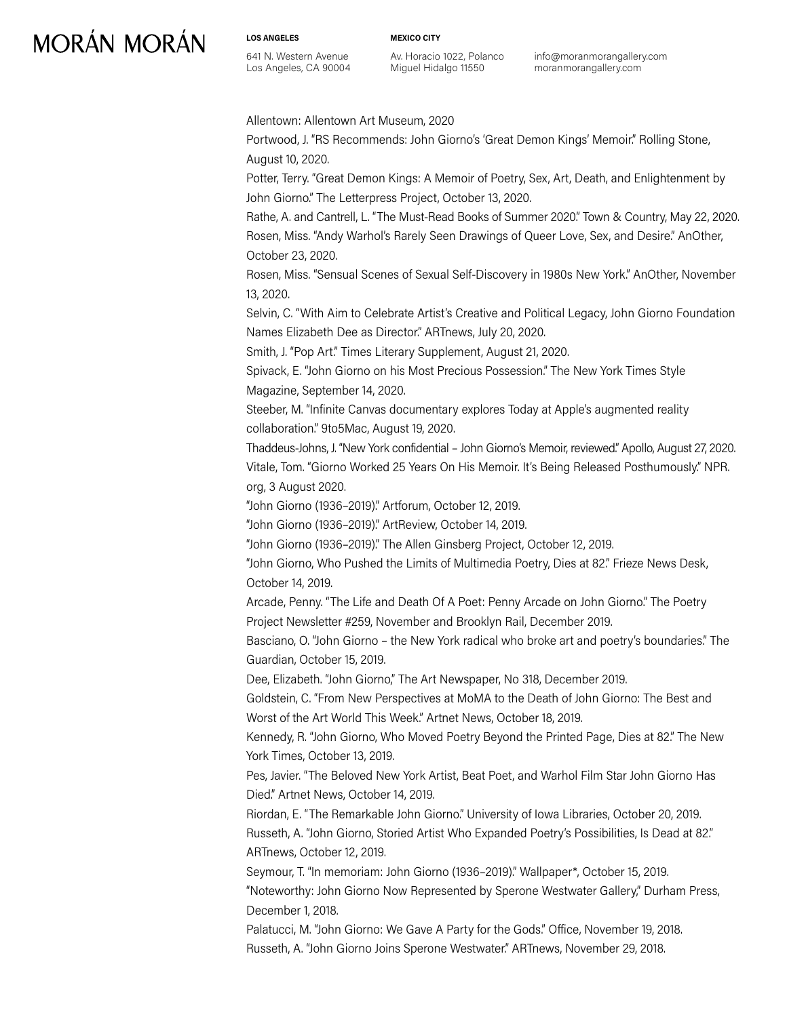**LOS ANGELES** 641 N. Western Avenue Los Angeles, CA 90004 **MEXICO CITY**

Av. Horacio 1022, Polanco Miguel Hidalgo 11550

info@moranmorangallery.com moranmorangallery.com

Allentown: Allentown Art Museum, 2020

Portwood, J. "RS Recommends: John Giorno's 'Great Demon Kings' Memoir." Rolling Stone, August 10, 2020.

Potter, Terry. "Great Demon Kings: A Memoir of Poetry, Sex, Art, Death, and Enlightenment by John Giorno." The Letterpress Project, October 13, 2020.

Rathe, A. and Cantrell, L. "The Must-Read Books of Summer 2020." Town & Country, May 22, 2020. Rosen, Miss. "Andy Warhol's Rarely Seen Drawings of Queer Love, Sex, and Desire." AnOther, October 23, 2020.

Rosen, Miss. "Sensual Scenes of Sexual Self-Discovery in 1980s New York." AnOther, November 13, 2020.

Selvin, C. "With Aim to Celebrate Artist's Creative and Political Legacy, John Giorno Foundation Names Elizabeth Dee as Director." ARTnews, July 20, 2020.

Smith, J. "Pop Art." Times Literary Supplement, August 21, 2020.

Spivack, E. "John Giorno on his Most Precious Possession." The New York Times Style Magazine, September 14, 2020.

Steeber, M. "Infinite Canvas documentary explores Today at Apple's augmented reality collaboration." 9to5Mac, August 19, 2020.

Thaddeus-Johns, J. "New York confidential – John Giorno's Memoir, reviewed." Apollo, August 27, 2020. Vitale, Tom. "Giorno Worked 25 Years On His Memoir. It's Being Released Posthumously." NPR. org, 3 August 2020.

"John Giorno (1936–2019)." Artforum, October 12, 2019.

"John Giorno (1936–2019)." ArtReview, October 14, 2019.

"John Giorno (1936–2019)." The Allen Ginsberg Project, October 12, 2019.

"John Giorno, Who Pushed the Limits of Multimedia Poetry, Dies at 82." Frieze News Desk, October 14, 2019.

Arcade, Penny. "The Life and Death Of A Poet: Penny Arcade on John Giorno." The Poetry Project Newsletter #259, November and Brooklyn Rail, December 2019.

Basciano, O. "John Giorno – the New York radical who broke art and poetry's boundaries." The Guardian, October 15, 2019.

Dee, Elizabeth. "John Giorno," The Art Newspaper, No 318, December 2019.

Goldstein, C. "From New Perspectives at MoMA to the Death of John Giorno: The Best and Worst of the Art World This Week." Artnet News, October 18, 2019.

Kennedy, R. "John Giorno, Who Moved Poetry Beyond the Printed Page, Dies at 82." The New York Times, October 13, 2019.

Pes, Javier. "The Beloved New York Artist, Beat Poet, and Warhol Film Star John Giorno Has Died." Artnet News, October 14, 2019.

Riordan, E. "The Remarkable John Giorno." University of Iowa Libraries, October 20, 2019. Russeth, A. "John Giorno, Storied Artist Who Expanded Poetry's Possibilities, Is Dead at 82." ARTnews, October 12, 2019.

Seymour, T. "In memoriam: John Giorno (1936–2019)." Wallpaper\*, October 15, 2019. "Noteworthy: John Giorno Now Represented by Sperone Westwater Gallery," Durham Press, December 1, 2018.

Palatucci, M. "John Giorno: We Gave A Party for the Gods." Office, November 19, 2018. Russeth, A. "John Giorno Joins Sperone Westwater." ARTnews, November 29, 2018.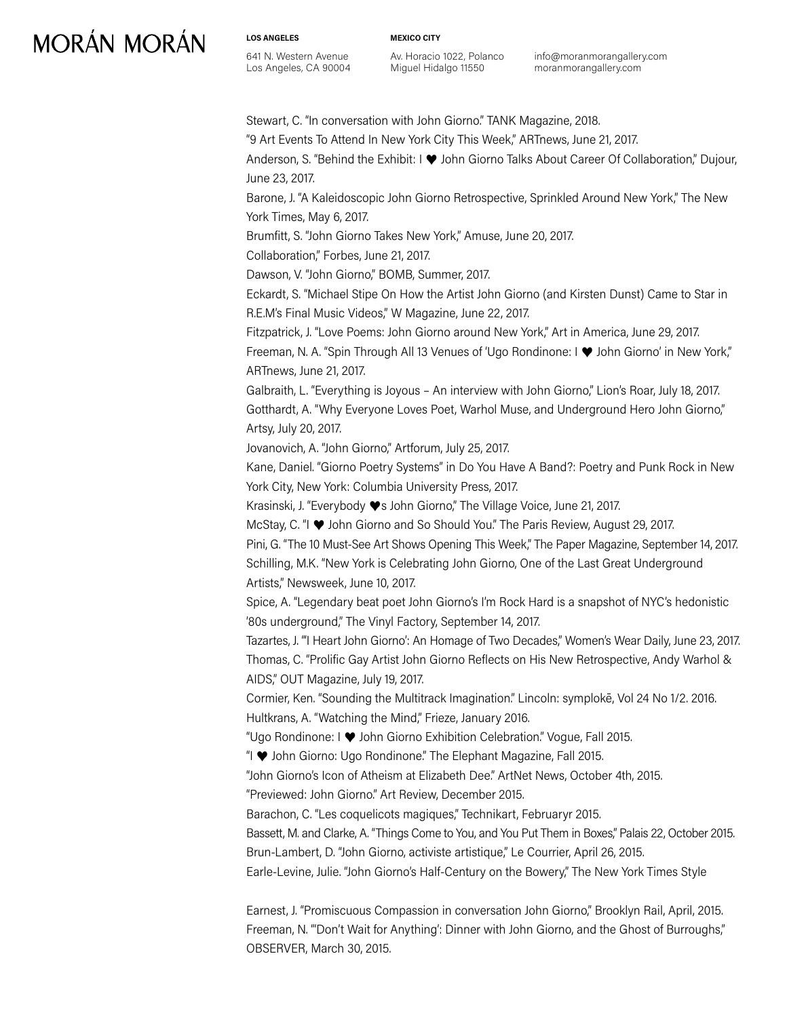**LOS ANGELES** 641 N. Western Avenue Los Angeles, CA 90004 **MEXICO CITY**

Av. Horacio 1022, Polanco Miguel Hidalgo 11550

info@moranmorangallery.com moranmorangallery.com

Stewart, C. "In conversation with John Giorno." TANK Magazine, 2018.

"9 Art Events To Attend In New York City This Week," ARTnews, June 21, 2017.

Anderson, S. "Behind the Exhibit: I ♥ John Giorno Talks About Career Of Collaboration," Dujour, June 23, 2017.

Barone, J. "A Kaleidoscopic John Giorno Retrospective, Sprinkled Around New York," The New York Times, May 6, 2017.

Brumfitt, S. "John Giorno Takes New York," Amuse, June 20, 2017.

Collaboration," Forbes, June 21, 2017.

Dawson, V. "John Giorno," BOMB, Summer, 2017.

Eckardt, S. "Michael Stipe On How the Artist John Giorno (and Kirsten Dunst) Came to Star in R.E.M's Final Music Videos," W Magazine, June 22, 2017.

Fitzpatrick, J. "Love Poems: John Giorno around New York," Art in America, June 29, 2017.

Freeman, N. A. "Spin Through All 13 Venues of 'Ugo Rondinone: I ♥ John Giorno' in New York," ARTnews, June 21, 2017.

Galbraith, L. "Everything is Joyous – An interview with John Giorno," Lion's Roar, July 18, 2017. Gotthardt, A. "Why Everyone Loves Poet, Warhol Muse, and Underground Hero John Giorno," Artsy, July 20, 2017.

Jovanovich, A. "John Giorno," Artforum, July 25, 2017.

Kane, Daniel. "Giorno Poetry Systems" in Do You Have A Band?: Poetry and Punk Rock in New York City, New York: Columbia University Press, 2017.

Krasinski, J. "Everybody ♥s John Giorno," The Village Voice, June 21, 2017.

McStay, C. "I ♥ John Giorno and So Should You." The Paris Review, August 29, 2017.

Pini, G. "The 10 Must-See Art Shows Opening This Week," The Paper Magazine, September 14, 2017. Schilling, M.K. "New York is Celebrating John Giorno, One of the Last Great Underground Artists," Newsweek, June 10, 2017.

Spice, A. "Legendary beat poet John Giorno's I'm Rock Hard is a snapshot of NYC's hedonistic '80s underground," The Vinyl Factory, September 14, 2017.

Tazartes, J. "'I Heart John Giorno': An Homage of Two Decades," Women's Wear Daily, June 23, 2017. Thomas, C. "Prolific Gay Artist John Giorno Reflects on His New Retrospective, Andy Warhol & AIDS," OUT Magazine, July 19, 2017.

Cormier, Ken. "Sounding the Multitrack Imagination." Lincoln: symplokē, Vol 24 No 1/2. 2016. Hultkrans, A. "Watching the Mind," Frieze, January 2016.

"Ugo Rondinone: I ♥ John Giorno Exhibition Celebration." Vogue, Fall 2015.

"I ♥ John Giorno: Ugo Rondinone." The Elephant Magazine, Fall 2015.

"John Giorno's Icon of Atheism at Elizabeth Dee." ArtNet News, October 4th, 2015.

"Previewed: John Giorno." Art Review, December 2015.

Barachon, C. "Les coquelicots magiques," Technikart, Februaryr 2015.

Bassett, M. and Clarke, A. "Things Come to You, and You Put Them in Boxes," Palais 22, October 2015. Brun-Lambert, D. "John Giorno, activiste artistique," Le Courrier, April 26, 2015.

Earle-Levine, Julie. "John Giorno's Half-Century on the Bowery," The New York Times Style

Earnest, J. "Promiscuous Compassion in conversation John Giorno," Brooklyn Rail, April, 2015. Freeman, N. "'Don't Wait for Anything': Dinner with John Giorno, and the Ghost of Burroughs," OBSERVER, March 30, 2015.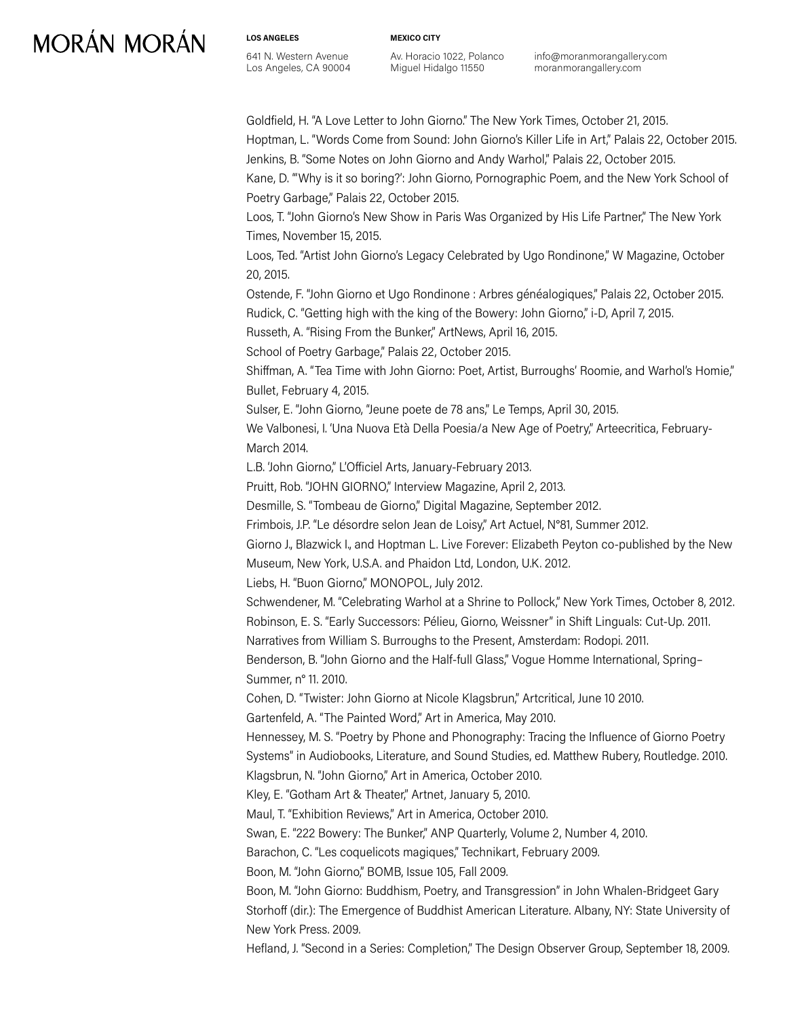**LOS ANGELES** 641 N. Western Avenue Los Angeles, CA 90004 **MEXICO CITY**

Av. Horacio 1022, Polanco Miguel Hidalgo 11550

info@moranmorangallery.com moranmorangallery.com

Goldfield, H. "A Love Letter to John Giorno." The New York Times, October 21, 2015. Hoptman, L. "Words Come from Sound: John Giorno's Killer Life in Art," Palais 22, October 2015. Jenkins, B. "Some Notes on John Giorno and Andy Warhol," Palais 22, October 2015. Kane, D. "'Why is it so boring?': John Giorno, Pornographic Poem, and the New York School of Poetry Garbage," Palais 22, October 2015. Loos, T. "John Giorno's New Show in Paris Was Organized by His Life Partner," The New York Times, November 15, 2015. Loos, Ted. "Artist John Giorno's Legacy Celebrated by Ugo Rondinone," W Magazine, October 20, 2015. Ostende, F. "John Giorno et Ugo Rondinone : Arbres généalogiques," Palais 22, October 2015. Rudick, C. "Getting high with the king of the Bowery: John Giorno," i-D, April 7, 2015. Russeth, A. "Rising From the Bunker," ArtNews, April 16, 2015. School of Poetry Garbage," Palais 22, October 2015. Shiffman, A. "Tea Time with John Giorno: Poet, Artist, Burroughs' Roomie, and Warhol's Homie," Bullet, February 4, 2015. Sulser, E. "John Giorno, "Jeune poete de 78 ans," Le Temps, April 30, 2015. We Valbonesi, I. 'Una Nuova Età Della Poesia/a New Age of Poetry," Arteecritica, February-March 2014. L.B. 'John Giorno," L'Officiel Arts, January-February 2013. Pruitt, Rob. "JOHN GIORNO," Interview Magazine, April 2, 2013. Desmille, S. "Tombeau de Giorno," Digital Magazine, September 2012. Frimbois, J.P. "Le désordre selon Jean de Loisy," Art Actuel, N°81, Summer 2012. Giorno J., Blazwick I., and Hoptman L. Live Forever: Elizabeth Peyton co-published by the New Museum, New York, U.S.A. and Phaidon Ltd, London, U.K. 2012. Liebs, H. "Buon Giorno," MONOPOL, July 2012. Schwendener, M. "Celebrating Warhol at a Shrine to Pollock," New York Times, October 8, 2012. Robinson, E. S. "Early Successors: Pélieu, Giorno, Weissner" in Shift Linguals: Cut-Up. 2011. Narratives from William S. Burroughs to the Present, Amsterdam: Rodopi. 2011. Benderson, B. "John Giorno and the Half-full Glass," Vogue Homme International, Spring– Summer, n° 11. 2010. Cohen, D. "Twister: John Giorno at Nicole Klagsbrun," Artcritical, June 10 2010. Gartenfeld, A. "The Painted Word," Art in America, May 2010. Hennessey, M. S. "Poetry by Phone and Phonography: Tracing the Influence of Giorno Poetry Systems" in Audiobooks, Literature, and Sound Studies, ed. Matthew Rubery, Routledge. 2010. Klagsbrun, N. "John Giorno," Art in America, October 2010. Kley, E. "Gotham Art & Theater," Artnet, January 5, 2010. Maul, T. "Exhibition Reviews," Art in America, October 2010. Swan, E. "222 Bowery: The Bunker," ANP Quarterly, Volume 2, Number 4, 2010. Barachon, C. "Les coquelicots magiques," Technikart, February 2009. Boon, M. "John Giorno," BOMB, Issue 105, Fall 2009. Boon, M. "John Giorno: Buddhism, Poetry, and Transgression" in John Whalen-Bridgeet Gary Storhoff (dir.): The Emergence of Buddhist American Literature. Albany, NY: State University of New York Press. 2009. Hefland, J. "Second in a Series: Completion," The Design Observer Group, September 18, 2009.